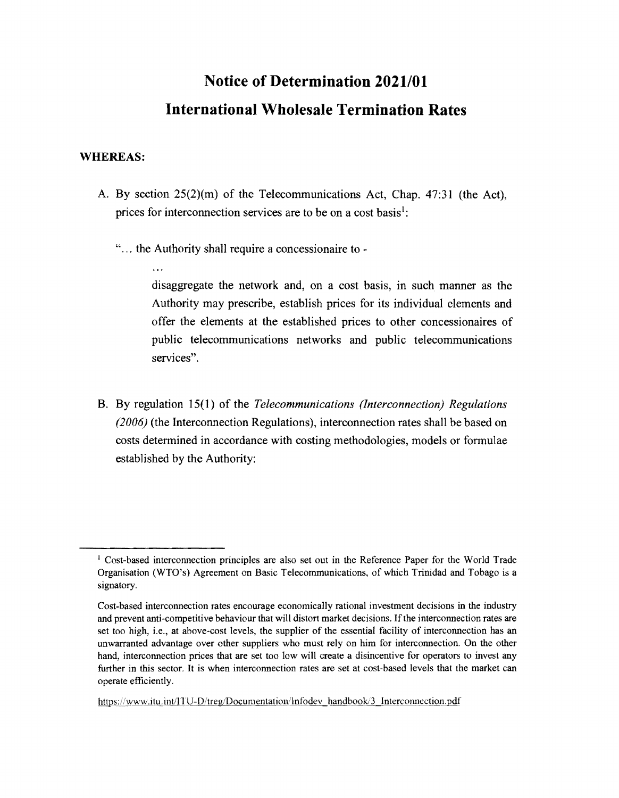# **Notice of Determination 2021/01 International Wholesale Termination Rates**

#### **WHEREAS:**

- A. By section  $25(2)(m)$  of the Telecommunications Act, Chap. 47:31 (the Act), prices for interconnection services are to be on a cost basis':
	- "... the Authority shall require a concessionaire to -

disaggregate the network and, on a cost basis, in such manner as the Authority may prescribe, establish prices for its individual elements and offer the elements at the established prices to other concessionaires of public telecommunications networks and public telecommunications services".

B. By regulation 15(1) of the *Telecommunications (Interconnection) Regulations (2006)* (the Interconnection Regulations), interconnection rates shall be based on costs determined in accordance with costing methodologies, models or formulae established by the Authority:

<sup>&</sup>lt;sup>1</sup> Cost-based interconnection principles are also set out in the Reference Paper for the World Trade Organisation (WTO's) Agreement on Basic Telecommunications, of which Trinidad and Tobago is a signatory.

Cost-based interconnection rates encourage economically rational investment decisions in the industry and prevent anti-competitive behaviour that will distort market decisions. Ifthe interconnection rates are set too high, i.e., at above-cost levels, the supplier of the essential facility of interconnection has an unwarranted advantage over other suppliers who must rely on him for interconnection. On the other hand, interconnection prices that are set too low will create a disincentive for operators to invest any further in this sector. It is when interconnection rates are set at cost-based levels that the market can operate efficiently.

https://www.itu.int/ITU-D/treg/Documentation/Infodev handbook/3 Interconnection.pdf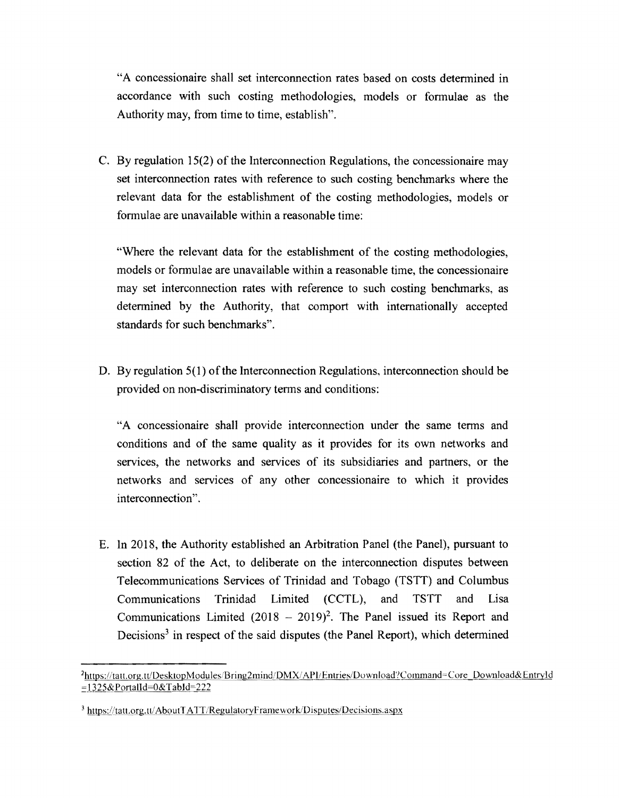"A concessionaire shall set interconnection rates based on costs detennined in accordance with such costing methodologies, models or fonnulae as the Authority may, from time to time, establish".

C. By regulation 15(2) of the Interconnection Regulations, the concessionaire may set interconnection rates with reference to such costing benchmarks where the relevant data for the establishment of the costing methodologies, models or formulae are unavailable within a reasonable time:

"Where the relevant data for the establishment of the costing methodologies, models or fonnulae are unavailable within a reasonable time, the concessionaire may set interconnection rates with reference to such costing benchmarks, as detennined by the Authority, that comport with internationally accepted standards for such benchmarks".

D. By regulation  $5(1)$  of the Interconnection Regulations, interconnection should be provided on non-discriminatory tenns and conditions:

"A concessionaire shall provide interconnection under the same tenns and conditions and of the same quality as it provides for its own networks and services, the networks and services of its subsidiaries and partners, or the networks and services of any other concessionaire to which it provides interconnection".

E. In 2018, the Authority established an Arbitration Panel (the Panel), pursuant to section 82 of the Act, to deliberate on the interconnection disputes between Telecommunications Services of Trinidad and Tobago (TSTT) and Columbus Communications Trinidad Limited (CCTL), and TSTT and Lisa Communications Limited  $(2018 - 2019)^2$ . The Panel issued its Report and Decisions<sup>3</sup> in respect of the said disputes (the Panel Report), which determined

<sup>&</sup>lt;sup>2</sup>https://tatt.org.tt/DesktopModules/Bring2mind/DMX/API/Entries/Download?Command=Core\_Download& Entryl d ::::,JJ258,cPortalld=O&TabId=222

<sup>&</sup>lt;sup>3</sup> https://tatt.org.tt/AboutTATT/RegulatoryFramework/Disputes/Decisions.aspx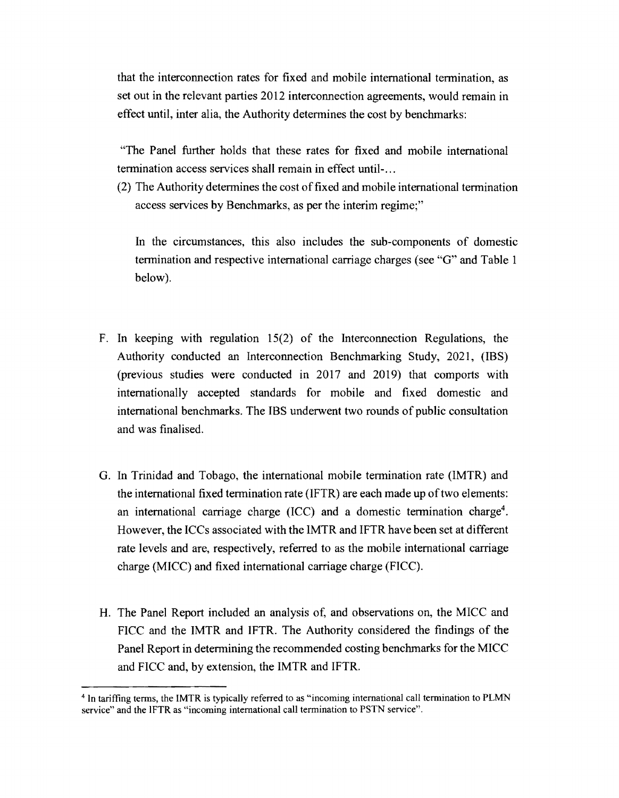that the interconnection rates for fixed and mobile international termination, as set out in the relevant parties 2012 interconnection agreements, would remain in effect until, inter alia, the Authority determines the cost by benchmarks:

"The Panel further holds that these rates for fixed and mobile international termination access services shall remain in effect until-...

(2) The Authority determines the cost offixed and mobile international termination access services by Benchmarks, as per the interim regime;"

In the circumstances, this also includes the SUb-components of domestic termination and respective international carriage charges (see "G" and Table 1 below).

- F. In keeping with regulation  $15(2)$  of the Interconnection Regulations, the Authority conducted an Interconnection Benchmarking Study, 2021, (IBS) (previous studies were conducted in 2017 and 2019) that comports with internationally accepted standards for mobile and fixed domestic and international benchmarks. The IBS underwent two rounds of public consultation and was finalised.
- G. In Trinidad and Tobago, the international mobile termination rate (IMTR) and the international fixed termination rate (IFTR) are each made up of two elements: an international carriage charge (ICC) and a domestic termination charge<sup>4</sup>. However, the ICCs associated with the IMTR and IFTR have been set at different rate levels and are, respectively, referred to as the mobile international carriage charge (MICC) and fixed international carriage charge (FICC).
- H. The Panel Report included an analysis of, and observations on, the MICC and FICC and the IMTR and IFTR. The Authority considered the findings of the Panel Report in determining the recommended costing benchmarks for the MICC and FICC and, by extension, the IMTR and IFTR.

<sup>4</sup> In tariffing tenns, the IMTR is typically referred to as "incoming international call tennination to PLMN service" and the IFTR as "incoming international call termination to PSTN service".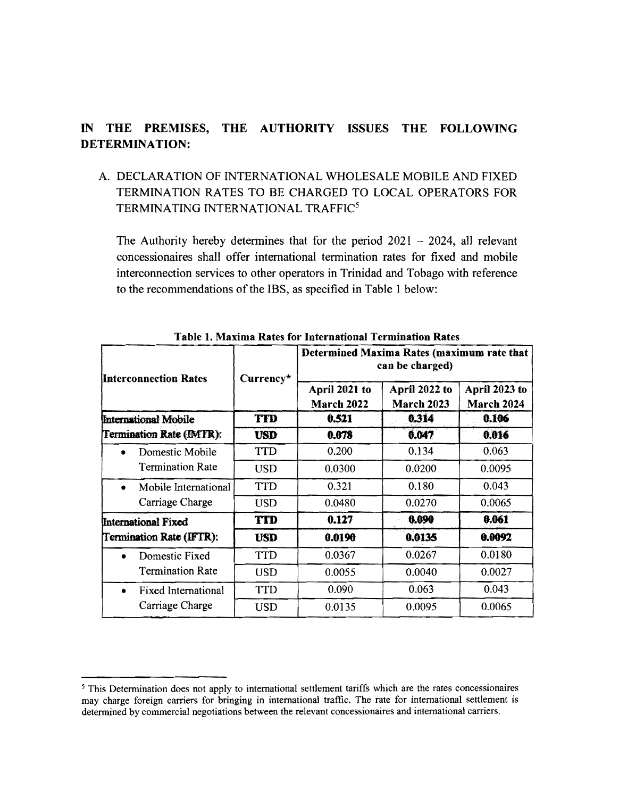## IN THE PREMISES, THE AUTHORITY ISSUES THE FOLLOWING DETERMINATION:

## A. DECLARATION OF INTERNATIONAL WHOLESALE MOBILE AND FIXED TERMINA TION RATES TO BE CHARGED TO LOCAL OPERATORS FOR TERMINATING INTERNATIONAL TRAFFIC<sup>5</sup>

The Authority hereby determines that for the period  $2021 - 2024$ , all relevant concessionaires shall offer international tennination rates for fixed and mobile interconnection services to other operators in Trinidad and Tobago with reference to the recommendations of the IBS, as specified in Table 1 below:

| <b>Interconnection Rates</b>                       | Currency*  | Determined Maxima Rates (maximum rate that<br>can be charged) |                             |                             |
|----------------------------------------------------|------------|---------------------------------------------------------------|-----------------------------|-----------------------------|
|                                                    |            | April 2021 to<br>March 2022                                   | April 2022 to<br>March 2023 | April 2023 to<br>March 2024 |
| International Mobile<br>Termination Rate (IMTR):   | <b>TID</b> | 0.521                                                         | 0.314                       | 0.106                       |
|                                                    | <b>USD</b> | 0.078                                                         | 0.047                       | 0.016                       |
| Domestic Mobile<br><b>Termination Rate</b>         | <b>TTD</b> | 0.200                                                         | 0.134                       | 0.063                       |
|                                                    | <b>USD</b> | 0.0300                                                        | 0.0200                      | 0.0095                      |
| Mobile International<br>Carriage Charge            | <b>TTD</b> | 0.321                                                         | 0.180                       | 0.043                       |
|                                                    | <b>USD</b> | 0.0480                                                        | 0.0270                      | 0.0065                      |
| International Fixed<br>Termination Rate (IFTR):    | <b>TTD</b> | 0.127                                                         | 0.090                       | 0.061                       |
|                                                    | <b>USD</b> | 0.0190                                                        | 0.0135                      | 0.0092                      |
| Domestic Fixed<br><b>Termination Rate</b>          | <b>TTD</b> | 0.0367                                                        | 0.0267                      | 0.0180                      |
|                                                    | <b>USD</b> | 0.0055                                                        | 0.0040                      | 0.0027                      |
| <b>Fixed International</b><br>٠<br>Carriage Charge | <b>TTD</b> | 0.090                                                         | 0.063                       | 0.043                       |
|                                                    | <b>USD</b> | 0.0135                                                        | 0.0095                      | 0.0065                      |

Table 1. Maxima Rates for International Termination Rates

<sup>&</sup>lt;sup>5</sup> This Determination does not apply to international settlement tariffs which are the rates concessionaires may charge foreign carriers for bringing in international traffic. The rate for international settlement is detennined by commercial negotiations between the relevant concessionaires and international carriers.